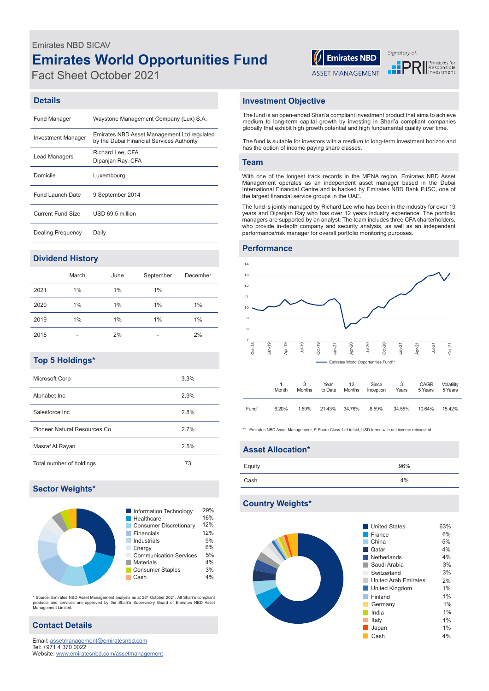# **Emirates World Opportunities Fund** Emirates NBD SICAV

Fact Sheet October 2021

# $\left|\left|\right|\right|$  Emirates NBD

ASSET MANAGEMENT

Signatory of: **PRI** Principles for

#### **Details**

| <b>Fund Manager</b>       | Waystone Management Company (Lux) S.A.                                                   |
|---------------------------|------------------------------------------------------------------------------------------|
| <b>Investment Manager</b> | Emirates NBD Asset Management Ltd regulated<br>by the Dubai Financial Services Authority |
| <b>Lead Managers</b>      | Richard Lee. CFA<br>Dipanjan Ray, CFA                                                    |
| Domicile                  | Luxembourg                                                                               |
| Fund Launch Date          | 9 September 2014                                                                         |
| <b>Current Fund Size</b>  | USD 69.5 million                                                                         |
| Dealing Frequency         | Daily                                                                                    |

## **Dividend History**

|      | March | June | September | December |
|------|-------|------|-----------|----------|
| 2021 | 1%    | 1%   | 1%        |          |
| 2020 | $1\%$ | 1%   | 1%        | 1%       |
| 2019 | $1\%$ | 1%   | 1%        | 1%       |
| 2018 | -     | 2%   | ۰         | 2%       |

## **Top 5 Holdings\***

| Microsoft Corp               | 3.3% |
|------------------------------|------|
| Alphabet Inc                 | 2.9% |
| Salesforce Inc.              | 2.8% |
| Pioneer Natural Resources Co | 2.7% |
| Masraf Al Rayan              | 2.5% |
| Total number of holdings     | 73   |

## **Sector Weights\***



\* Source: Emirates NBD Asset Management analysis as at 28<sup>in</sup> October 2021. All Shari'a compliant<br>products and services are approved by the Shari'a Supervisory Board of Emirates NBD Asset<br>Management Limited.

## **Contact Details**

Email: assetmanagement@emiratesnbd.com Tel: +971 4 370 0022 Website: www.emiratesnbd.com/assetmanagement

#### **Investment Objective**

The fund is an open-ended Shari'a compliant investment product that aims to achieve medium to long-term capital growth by investing in Shari'a compliant companies globally that exhibit high growth potential and high fundamental quality over time.

The fund is suitable for investors with a medium to long-term investment horizon and has the option of income paying share classes.

#### **Team**

With one of the longest track records in the MENA region, Emirates NBD Asset Management operates as an independent asset manager based in the Dubai International Financial Centre and is backed by Emirates NBD Bank PJSC, one of the largest financial service groups in the UAE.

The fund is jointly managed by Richard Lee who has been in the industry for over 19 years and Dipanjan Ray who has over 12 years industry experience. The portfolio managers are supported by an analyst. The team includes three CFA charterholders, who provide in-depth company and security analysis, as well as an independent performance/risk manager for overall portfolio monitoring purposes.

#### **Performance**



|       | Month | <b>Months</b> | Year<br>to Date | 12<br>Months | Since<br>Inception | 3<br>Years | CAGR<br>5 Years | Volatility<br>5 Years |
|-------|-------|---------------|-----------------|--------------|--------------------|------------|-----------------|-----------------------|
| Fund" | 6.20% | 1.69%         | 21.43% 34.76%   |              | 8.59%              | 34.55%     | 10.64%          | 15.42%                |

\*\* Emirates NBD Asset Management, P Share Class, bid to bid, USD terms with net income reinvested

### **Asset Allocation\***

| Equity | 96% |
|--------|-----|
| Cash   | 4%  |
|        |     |

#### **Country Weights\***